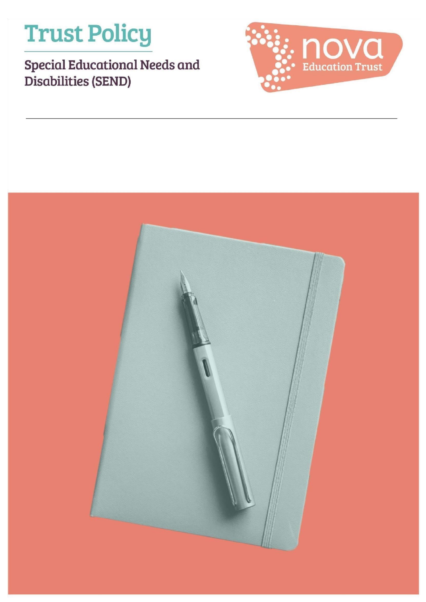# **Trust Policy**

## Special Educational Needs and Disabilities (SEND)



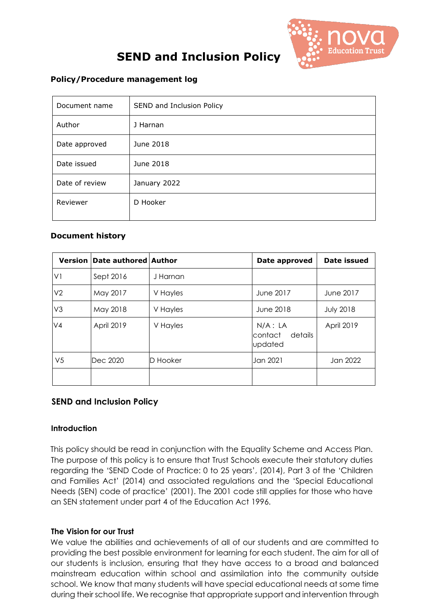

### **SEND and Inclusion Policy**

#### **Policy/Procedure management log**

| Document name  | SEND and Inclusion Policy |  |  |
|----------------|---------------------------|--|--|
| Author         | J Harnan                  |  |  |
| Date approved  | June 2018                 |  |  |
| Date issued    | June 2018                 |  |  |
| Date of review | January 2022              |  |  |
| Reviewer       | D Hooker                  |  |  |

#### **Document history**

| <b>Version</b> | Date authored Author |          | Date approved                               | <b>Date issued</b> |
|----------------|----------------------|----------|---------------------------------------------|--------------------|
| V1             | Sept 2016            | J Harnan |                                             |                    |
| V <sub>2</sub> | May 2017             | V Hayles | June 2017                                   | June 2017          |
| V <sub>3</sub> | May 2018             | V Hayles | <b>June 2018</b>                            | <b>July 2018</b>   |
| V <sub>4</sub> | April 2019           | V Hayles | $N/A$ : LA<br>details<br>contact<br>updated | April 2019         |
| V <sub>5</sub> | Dec 2020             | D Hooker | Jan 2021                                    | Jan 2022           |
|                |                      |          |                                             |                    |

#### **SEND and Inclusion Policy**

#### **Introduction**

This policy should be read in conjunction with the Equality Scheme and Access Plan. The purpose of this policy is to ensure that Trust Schools execute their statutory duties regarding the 'SEND Code of Practice: 0 to 25 years', (2014), Part 3 of the 'Children and Families Act' (2014) and associated regulations and the 'Special Educational Needs (SEN) code of practice' (2001). The 2001 code still applies for those who have an SEN statement under part 4 of the Education Act 1996.

#### **The Vision for our Trust**

We value the abilities and achievements of all of our students and are committed to providing the best possible environment for learning for each student. The aim for all of our students is inclusion, ensuring that they have access to a broad and balanced mainstream education within school and assimilation into the community outside school. We know that many students will have special educational needs at some time during their school life. We recognise that appropriate support and intervention through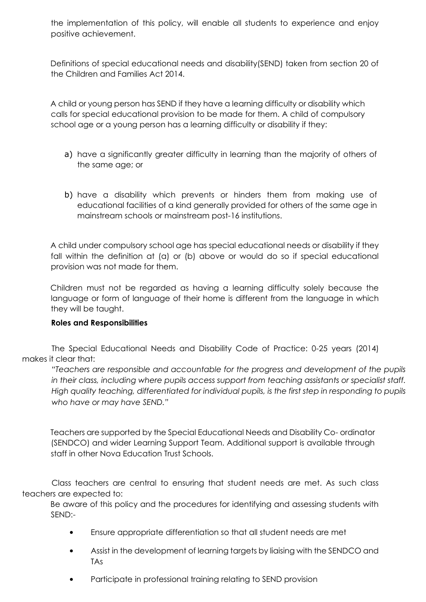the implementation of this policy, will enable all students to experience and enjoy positive achievement.

Definitions of special educational needs and disability(SEND) taken from section 20 of the Children and Families Act 2014.

A child or young person has SEND if they have a learning difficulty or disability which calls for special educational provision to be made for them. A child of compulsory school age or a young person has a learning difficulty or disability if they:

- a) have a significantly greater difficulty in learning than the majority of others of the same age; or
- b) have a disability which prevents or hinders them from making use of educational facilities of a kind generally provided for others of the same age in mainstream schools or mainstream post-16 institutions.

A child under compulsory school age has special educational needs or disability if they fall within the definition at (a) or (b) above or would do so if special educational provision was not made for them.

Children must not be regarded as having a learning difficulty solely because the language or form of language of their home is different from the language in which they will be taught.

#### **Roles and Responsibilities**

The Special Educational Needs and Disability Code of Practice: 0-25 years (2014) makes it clear that:

*"Teachers are responsible and accountable for the progress and development of the pupils in their class, including where pupils access support from teaching assistants or specialist staff. High quality teaching, differentiated for individual pupils, is the first step in responding to pupils who have or may have SEND."* 

Teachers are supported by the Special Educational Needs and Disability Co- ordinator (SENDCO) and wider Learning Support Team. Additional support is available through staff in other Nova Education Trust Schools.

Class teachers are central to ensuring that student needs are met. As such class teachers are expected to:

Be aware of this policy and the procedures for identifying and assessing students with SEND:-

- Ensure appropriate differentiation so that all student needs are met
- Assist in the development of learning targets by liaising with the SENDCO and TAs
- Participate in professional training relating to SEND provision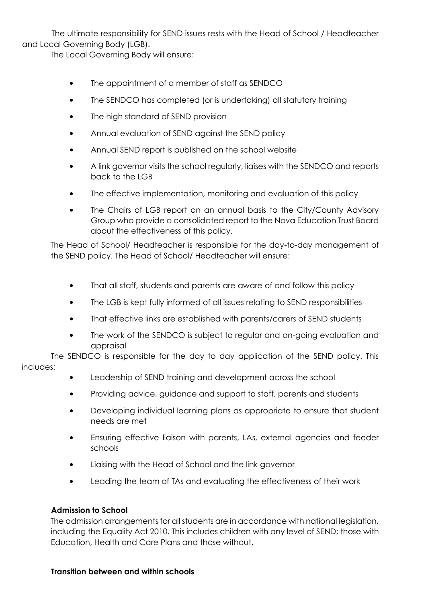The ultimate responsibility for SEND issues rests with the Head of School / Headteacher and Local Governing Body (LGB).

The Local Governing Body will ensure:

- The appointment of a member of staff as SENDCO
- The SENDCO has completed (or is undertaking) all statutory training
- The high standard of SEND provision
- Annual evaluation of SEND against the SEND policy
- Annual SEND report is published on the school website
- A link governor visits the school regularly, liaises with the SENDCO and reports back to the LGB
- The effective implementation, monitoring and evaluation of this policy
- The Chairs of LGB report on an annual basis to the City/County Advisory Group who provide a consolidated report to the Nova Education Trust Board about the effectiveness of this policy.

The Head of School/ Headteacher is responsible for the day-to-day management of the SEND policy. The Head of School/ Headteacher will ensure:

- That all staff, students and parents are aware of and follow this policy
- The LGB is kept fully informed of all issues relating to SEND responsibilities
- That effective links are established with parents/carers of SEND students
- The work of the SENDCO is subject to regular and on-going evaluation and appraisal

The SENDCO is responsible for the day to day application of the SEND policy. This includes:

- Leadership of SEND training and development across the school
- Providing advice, guidance and support to staff, parents and students
- Developing individual learning plans as appropriate to ensure that student needs are met
- Ensuring effective liaison with parents, LAs, external agencies and feeder schools
- Liaising with the Head of School and the link governor
- Leading the team of TAs and evaluating the effectiveness of their work

#### **Admission to School**

The admission arrangements for all students are in accordance with national legislation, including the Equality Act 2010. This includes children with any level of SEND; those with Education, Health and Care Plans and those without.

#### **Transition between and within schools**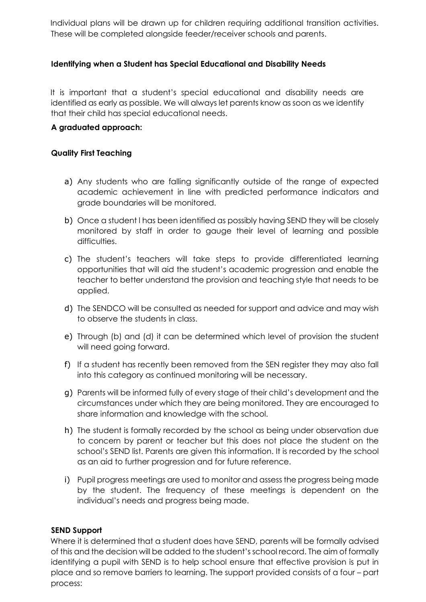Individual plans will be drawn up for children requiring additional transition activities. These will be completed alongside feeder/receiver schools and parents.

#### **Identifying when a Student has Special Educational and Disability Needs**

It is important that a student's special educational and disability needs are identified as early as possible. We will always let parents know as soon as we identify that their child has special educational needs.

#### **A graduated approach:**

#### **Quality First Teaching**

- a) Any students who are falling significantly outside of the range of expected academic achievement in line with predicted performance indicators and grade boundaries will be monitored.
- b) Once a student l has been identified as possibly having SEND they will be closely monitored by staff in order to gauge their level of learning and possible difficulties.
- c) The student's teachers will take steps to provide differentiated learning opportunities that will aid the student's academic progression and enable the teacher to better understand the provision and teaching style that needs to be applied.
- d) The SENDCO will be consulted as needed for support and advice and may wish to observe the students in class.
- e) Through (b) and (d) it can be determined which level of provision the student will need going forward.
- f) If a student has recently been removed from the SEN register they may also fall into this category as continued monitoring will be necessary.
- g) Parents will be informed fully of every stage of their child's development and the circumstances under which they are being monitored. They are encouraged to share information and knowledge with the school.
- h) The student is formally recorded by the school as being under observation due to concern by parent or teacher but this does not place the student on the school's SEND list. Parents are given this information. It is recorded by the school as an aid to further progression and for future reference.
- i) Pupil progress meetings are used to monitor and assess the progress being made by the student. The frequency of these meetings is dependent on the individual's needs and progress being made.

#### **SEND Support**

Where it is determined that a student does have SEND, parents will be formally advised of this and the decision will be added to the student's school record. The aim of formally identifying a pupil with SEND is to help school ensure that effective provision is put in place and so remove barriers to learning. The support provided consists of a four – part process: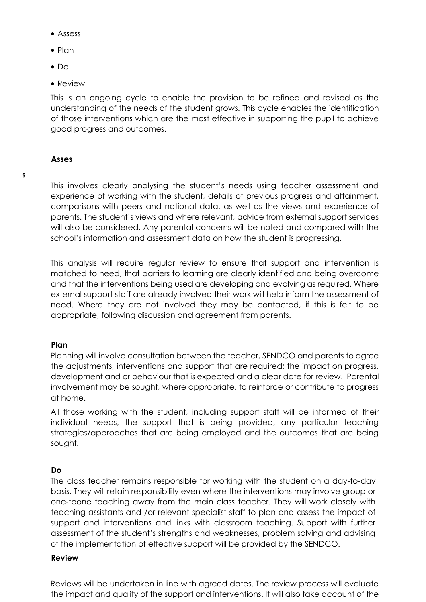- Assess
- Plan
- Do
- Review

This is an ongoing cycle to enable the provision to be refined and revised as the understanding of the needs of the student grows. This cycle enables the identification of those interventions which are the most effective in supporting the pupil to achieve good progress and outcomes.

#### **Asses**

This involves clearly analysing the student's needs using teacher assessment and experience of working with the student, details of previous progress and attainment, comparisons with peers and national data, as well as the views and experience of parents. The student's views and where relevant, advice from external support services will also be considered. Any parental concerns will be noted and compared with the school's information and assessment data on how the student is progressing.

This analysis will require regular review to ensure that support and intervention is matched to need, that barriers to learning are clearly identified and being overcome and that the interventions being used are developing and evolving as required. Where external support staff are already involved their work will help inform the assessment of need. Where they are not involved they may be contacted, if this is felt to be appropriate, following discussion and agreement from parents.

#### **Plan**

Planning will involve consultation between the teacher, SENDCO and parents to agree the adjustments, interventions and support that are required; the impact on progress, development and or behaviour that is expected and a clear date for review. Parental involvement may be sought, where appropriate, to reinforce or contribute to progress at home.

All those working with the student, including support staff will be informed of their individual needs, the support that is being provided, any particular teaching strategies/approaches that are being employed and the outcomes that are being sought.

#### **Do**

The class teacher remains responsible for working with the student on a day-to-day basis. They will retain responsibility even where the interventions may involve group or one-toone teaching away from the main class teacher. They will work closely with teaching assistants and /or relevant specialist staff to plan and assess the impact of support and interventions and links with classroom teaching. Support with further assessment of the student's strengths and weaknesses, problem solving and advising of the implementation of effective support will be provided by the SENDCO.

#### **Review**

Reviews will be undertaken in line with agreed dates. The review process will evaluate the impact and quality of the support and interventions. It will also take account of the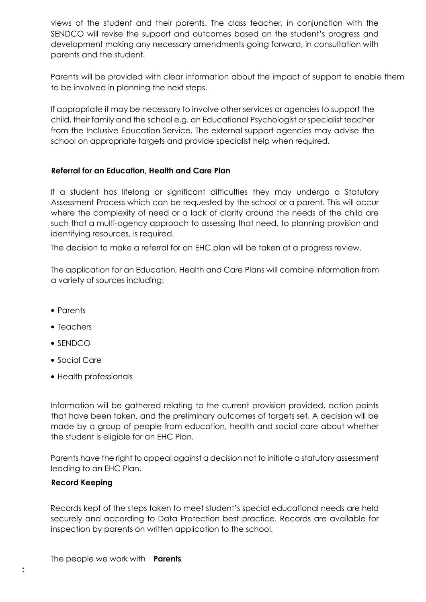views of the student and their parents. The class teacher, in conjunction with the SENDCO will revise the support and outcomes based on the student's progress and development making any necessary amendments going forward, in consultation with parents and the student.

Parents will be provided with clear information about the impact of support to enable them to be involved in planning the next steps.

If appropriate it may be necessary to involve other services or agencies to support the child, their family and the school e.g. an Educational Psychologist or specialist teacher from the Inclusive Education Service. The external support agencies may advise the school on appropriate targets and provide specialist help when required.

#### **Referral for an Education, Health and Care Plan**

If a student has lifelong or significant difficulties they may undergo a Statutory Assessment Process which can be requested by the school or a parent. This will occur where the complexity of need or a lack of clarity around the needs of the child are such that a multi-agency approach to assessing that need, to planning provision and identifying resources, is required.

The decision to make a referral for an EHC plan will be taken at a progress review.

The application for an Education, Health and Care Plans will combine information from a variety of sources including:

- Parents
- Teachers
- SENDCO
- Social Care
- Health professionals

Information will be gathered relating to the current provision provided, action points that have been taken, and the preliminary outcomes of targets set. A decision will be made by a group of people from education, health and social care about whether the student is eligible for an EHC Plan.

Parents have the right to appeal against a decision not to initiate a statutory assessment leading to an EHC Plan.

#### **Record Keeping**

Records kept of the steps taken to meet student's special educational needs are held securely and according to Data Protection best practice. Records are available for inspection by parents on written application to the school.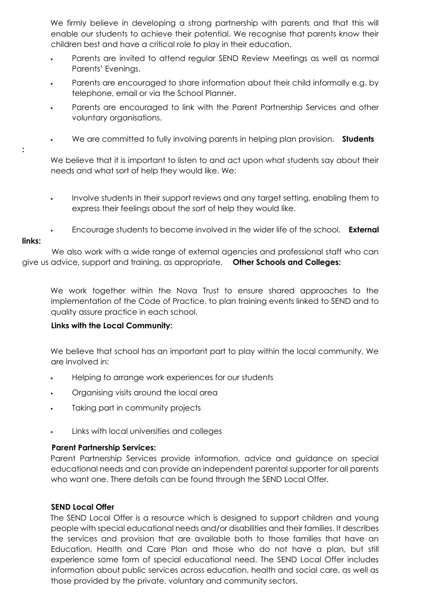We firmly believe in developing a strong partnership with parents and that this will enable our students to achieve their potential. We recognise that parents know their children best and have a critical role to play in their education.

- Parents are invited to attend regular SEND Review Meetings as well as normal Parents' Evenings.
- Parents are encouraged to share information about their child informally e.g. by telephone, email or via the School Planner.
- Parents are encouraged to link with the Parent Partnership Services and other voluntary organisations.
- We are committed to fully involving parents in helping plan provision. **Students**

We believe that it is important to listen to and act upon what students say about their needs and what sort of help they would like. We:

- Involve students in their support reviews and any target setting, enabling them to express their feelings about the sort of help they would like.
- Encourage students to become involved in the wider life of the school. **External**

#### **links:**

**:** 

We also work with a wide range of external agencies and professional staff who can give us advice, support and training, as appropriate. **Other Schools and Colleges:** 

We work together within the Nova Trust to ensure shared approaches to the implementation of the Code of Practice, to plan training events linked to SEND and to quality assure practice in each school.

#### **Links with the Local Community:**

We believe that school has an important part to play within the local community. We are involved in:

- Helping to arrange work experiences for our students
- Organising visits around the local area
- Taking part in community projects
- Links with local universities and colleges

#### **Parent Partnership Services:**

Parent Partnership Services provide information, advice and guidance on special educational needs and can provide an independent parental supporter for all parents who want one. There details can be found through the SEND Local Offer.

#### **SEND Local Offer**

The SEND Local Offer is a resource which is designed to support children and young people with special educational needs and/or disabilities and their families. It describes the services and provision that are available both to those families that have an Education, Health and Care Plan and those who do not have a plan, but still experience some form of special educational need. The SEND Local Offer includes information about public services across education, health and social care, as well as those provided by the private, voluntary and community sectors.